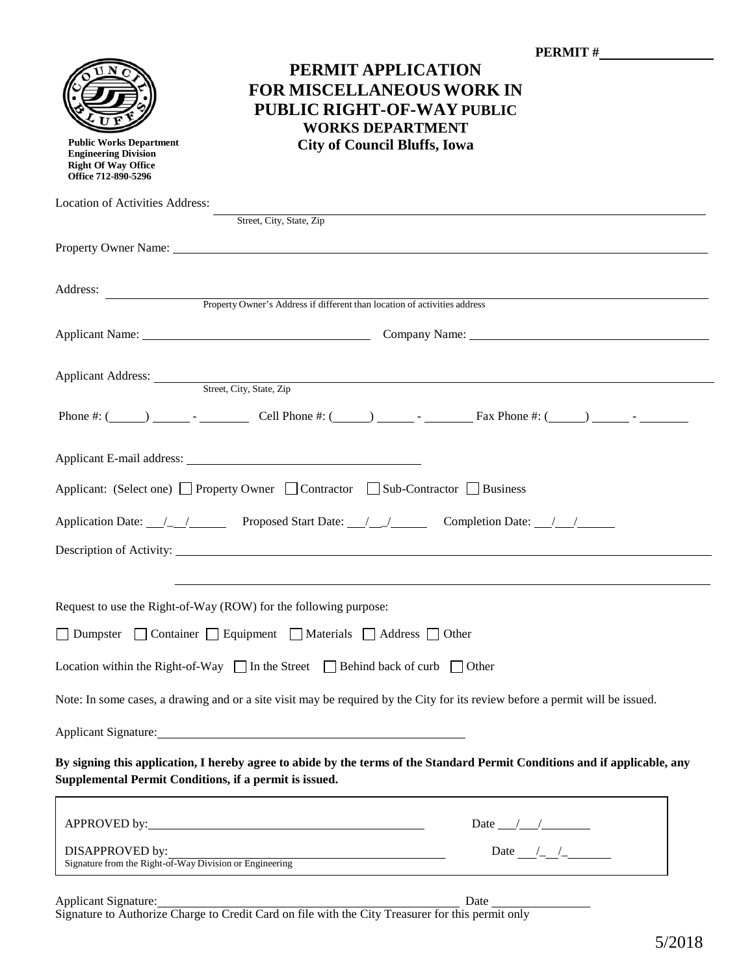|                                                                                                                                                                                      | <b>PERMIT #</b>                                                                                                                                                                                                                |  |
|--------------------------------------------------------------------------------------------------------------------------------------------------------------------------------------|--------------------------------------------------------------------------------------------------------------------------------------------------------------------------------------------------------------------------------|--|
|                                                                                                                                                                                      | PERMIT APPLICATION<br><b>FOR MISCELLANEOUS WORK IN</b><br>PUBLIC RIGHT-OF-WAY PUBLIC<br><b>WORKS DEPARTMENT</b>                                                                                                                |  |
| <b>Public Works Department</b><br><b>Engineering Division</b><br><b>Right Of Way Office</b><br>Office 712-890-5296                                                                   | <b>City of Council Bluffs, Iowa</b>                                                                                                                                                                                            |  |
| Location of Activities Address:                                                                                                                                                      |                                                                                                                                                                                                                                |  |
|                                                                                                                                                                                      | Street, City, State, Zip                                                                                                                                                                                                       |  |
|                                                                                                                                                                                      | Property Owner Name: 1988. The Contract of the Contract of the Contract of the Contract of the Contract of the Contract of the Contract of the Contract of the Contract of the Contract of the Contract of the Contract of the |  |
| Address:                                                                                                                                                                             | Property Owner's Address if different than location of activities address                                                                                                                                                      |  |
|                                                                                                                                                                                      |                                                                                                                                                                                                                                |  |
|                                                                                                                                                                                      |                                                                                                                                                                                                                                |  |
| Applicant Address: Street, City, State, Zip<br><u> 1989 - Johann Stoff, deutscher Stoff, der Stoff, der Stoff, der Stoff, der Stoff, der Stoff, der Stoff, der S</u>                 |                                                                                                                                                                                                                                |  |
|                                                                                                                                                                                      |                                                                                                                                                                                                                                |  |
|                                                                                                                                                                                      |                                                                                                                                                                                                                                |  |
| Applicant: (Select one) Property Owner Contractor Sub-Contractor Business                                                                                                            |                                                                                                                                                                                                                                |  |
|                                                                                                                                                                                      |                                                                                                                                                                                                                                |  |
|                                                                                                                                                                                      |                                                                                                                                                                                                                                |  |
|                                                                                                                                                                                      |                                                                                                                                                                                                                                |  |
|                                                                                                                                                                                      | Request to use the Right-of-Way (ROW) for the following purpose:                                                                                                                                                               |  |
| Dumpster                                                                                                                                                                             | □ Container □ Equipment □ Materials □ Address □ Other                                                                                                                                                                          |  |
| Location within the Right-of-Way $\Box$ In the Street $\Box$ Behind back of curb $\Box$ Other                                                                                        |                                                                                                                                                                                                                                |  |
| Note: In some cases, a drawing and or a site visit may be required by the City for its review before a permit will be issued.                                                        |                                                                                                                                                                                                                                |  |
| Applicant Signature: Management of the Applicant Signature:                                                                                                                          |                                                                                                                                                                                                                                |  |
| By signing this application, I hereby agree to abide by the terms of the Standard Permit Conditions and if applicable, any<br>Supplemental Permit Conditions, if a permit is issued. |                                                                                                                                                                                                                                |  |
|                                                                                                                                                                                      | Date $\frac{1}{\sqrt{2\pi}}$                                                                                                                                                                                                   |  |
| DISAPPROVED by:                                                                                                                                                                      | Date $\frac{1}{\sqrt{2}}$<br>Signature from the Right-of-Way Division or Engineering                                                                                                                                           |  |
|                                                                                                                                                                                      |                                                                                                                                                                                                                                |  |

Applicant Signature: Date Signature to Authorize Charge to Credit Card on file with the City Treasurer for this permit only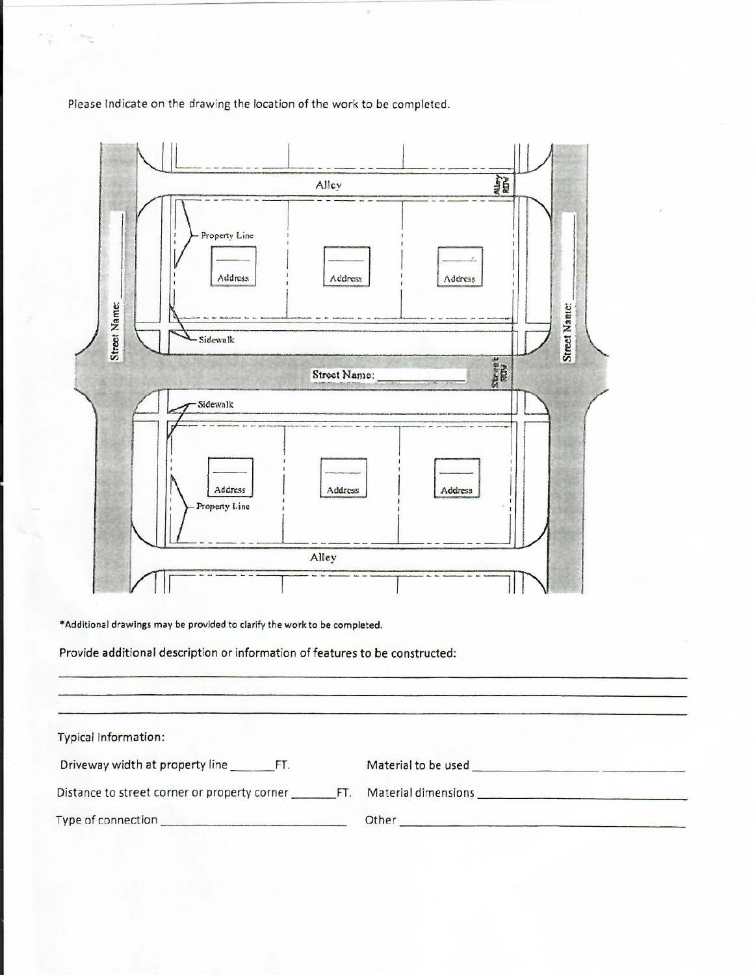Please Indicate on the drawing the location of the work to be completed.



\*Additional drawings may be provided to clarify the work to be completed.

Provide additional description or information of features to be constructed:

| <b>Typical Information:</b>                         |                     |
|-----------------------------------------------------|---------------------|
| Driveway width at property line<br>FT.              | Material to be used |
| Distance to street corner or property corner<br>FT. | Material dimensions |
| Type of connection                                  | Other               |